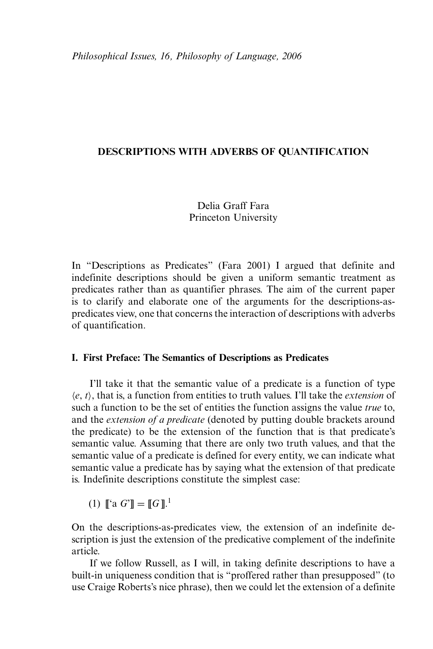# **DESCRIPTIONS WITH ADVERBS OF QUANTIFICATION**

Delia Graff Fara Princeton University

In "Descriptions as Predicates" (Fara 2001) I argued that definite and indefinite descriptions should be given a uniform semantic treatment as predicates rather than as quantifier phrases. The aim of the current paper is to clarify and elaborate one of the arguments for the descriptions-aspredicates view, one that concerns the interaction of descriptions with adverbs of quantification.

# **I. First Preface: The Semantics of Descriptions as Predicates**

I'll take it that the semantic value of a predicate is a function of type  $\langle e, t \rangle$ , that is, a function from entities to truth values. I'll take the *extension* of such a function to be the set of entities the function assigns the value *true* to, and the *extension of a predicate* (denoted by putting double brackets around the predicate) to be the extension of the function that is that predicate's semantic value. Assuming that there are only two truth values, and that the semantic value of a predicate is defined for every entity, we can indicate what semantic value a predicate has by saying what the extension of that predicate is. Indefinite descriptions constitute the simplest case:

(1)  $\mathbf{a} \in \mathbf{G}^{\mathsf{T}} = \mathbf{a} \in \mathbf{A}^{1}$ .

On the descriptions-as-predicates view, the extension of an indefinite description is just the extension of the predicative complement of the indefinite article.

If we follow Russell, as I will, in taking definite descriptions to have a built-in uniqueness condition that is "proffered rather than presupposed" (to use Craige Roberts's nice phrase), then we could let the extension of a definite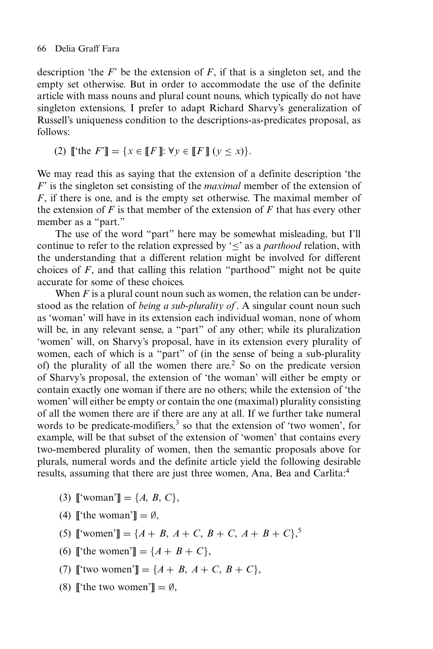description 'the *F*' be the extension of *F*, if that is a singleton set, and the empty set otherwise. But in order to accommodate the use of the definite article with mass nouns and plural count nouns, which typically do not have singleton extensions, I prefer to adapt Richard Sharvy's generalization of Russell's uniqueness condition to the descriptions-as-predicates proposal, as follows:

(2) 
$$
\llbracket \text{`the } F \rrbracket = \{ x \in \llbracket F \rrbracket : \forall y \in \llbracket F \rrbracket \, (y \leq x) \}.
$$

We may read this as saying that the extension of a definite description 'the *F*' is the singleton set consisting of the *maximal* member of the extension of *F*, if there is one, and is the empty set otherwise. The maximal member of the extension of *F* is that member of the extension of *F* that has every other member as a "part."

The use of the word "part" here may be somewhat misleading, but I'll continue to refer to the relation expressed by '≤' as a *parthood* relation, with the understanding that a different relation might be involved for different choices of *F*, and that calling this relation "parthood" might not be quite accurate for some of these choices.

When *F* is a plural count noun such as women, the relation can be understood as the relation of *being a sub-plurality of* . A singular count noun such as 'woman' will have in its extension each individual woman, none of whom will be, in any relevant sense, a "part" of any other; while its pluralization 'women' will, on Sharvy's proposal, have in its extension every plurality of women, each of which is a "part" of (in the sense of being a sub-plurality of) the plurality of all the women there are.<sup>2</sup> So on the predicate version of Sharvy's proposal, the extension of 'the woman' will either be empty or contain exactly one woman if there are no others; while the extension of 'the women' will either be empty or contain the one (maximal) plurality consisting of all the women there are if there are any at all. If we further take numeral words to be predicate-modifiers, $3$  so that the extension of 'two women', for example, will be that subset of the extension of 'women' that contains every two-membered plurality of women, then the semantic proposals above for plurals, numeral words and the definite article yield the following desirable results, assuming that there are just three women, Ana, Bea and Carlita:<sup>4</sup>

- (3)  $\[\text{[}'\text{woman'}\] = \{A, B, C\},\]$
- (4) ['the woman'] =  $\emptyset$ ,
- (5)  $[\text{['women'}] = \{A + B, A + C, B + C, A + B + C\}$ ,<sup>5</sup>
- (6) ['the women'] =  $\{A + B + C\}$ ,
- (7)  $\[\text{['two women'}]\] = \{A + B, A + C, B + C\},\]$
- (8) ['the two women'] =  $\emptyset$ ,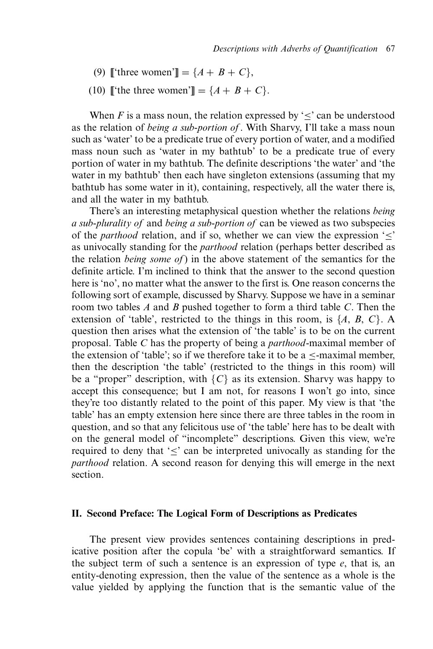- (9) ['three women'] =  $\{A + B + C\}$ ,
- (10) ['the three women'] =  ${A + B + C}$ .

When *F* is a mass noun, the relation expressed by ' $\leq$ ' can be understood as the relation of *being a sub-portion of* . With Sharvy, I'll take a mass noun such as 'water' to be a predicate true of every portion of water, and a modified mass noun such as 'water in my bathtub' to be a predicate true of every portion of water in my bathtub. The definite descriptions 'the water' and 'the water in my bathtub' then each have singleton extensions (assuming that my bathtub has some water in it), containing, respectively, all the water there is, and all the water in my bathtub.

There's an interesting metaphysical question whether the relations *being a sub-plurality of* and *being a sub-portion of* can be viewed as two subspecies of the *parthood* relation, and if so, whether we can view the expression '≤' as univocally standing for the *parthood* relation (perhaps better described as the relation *being some of* ) in the above statement of the semantics for the definite article. I'm inclined to think that the answer to the second question here is 'no', no matter what the answer to the first is. One reason concerns the following sort of example, discussed by Sharvy. Suppose we have in a seminar room two tables *A* and *B* pushed together to form a third table *C*. Then the extension of 'table', restricted to the things in this room, is  $\{A, B, C\}$ . A question then arises what the extension of 'the table' is to be on the current proposal. Table *C* has the property of being a *parthood*-maximal member of the extension of 'table'; so if we therefore take it to be a  $\le$ -maximal member, then the description 'the table' (restricted to the things in this room) will be a "proper" description, with  $\{C\}$  as its extension. Sharvy was happy to accept this consequence; but I am not, for reasons I won't go into, since they're too distantly related to the point of this paper. My view is that 'the table' has an empty extension here since there are three tables in the room in question, and so that any felicitous use of 'the table' here has to be dealt with on the general model of "incomplete" descriptions. Given this view, we're required to deny that '≤' can be interpreted univocally as standing for the *parthood* relation. A second reason for denying this will emerge in the next section.

## **II. Second Preface: The Logical Form of Descriptions as Predicates**

The present view provides sentences containing descriptions in predicative position after the copula 'be' with a straightforward semantics. If the subject term of such a sentence is an expression of type *e*, that is, an entity-denoting expression, then the value of the sentence as a whole is the value yielded by applying the function that is the semantic value of the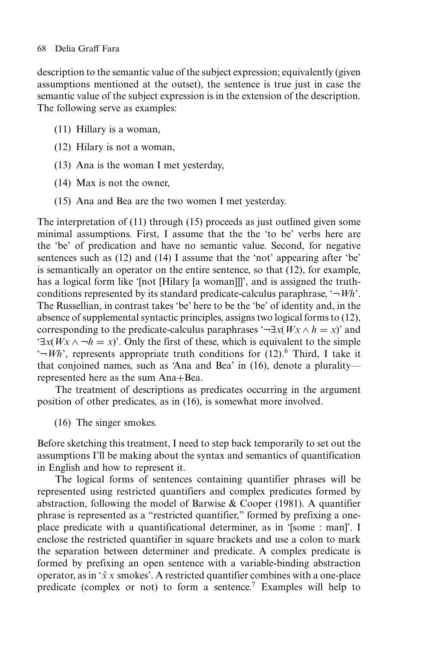description to the semantic value of the subject expression; equivalently (given assumptions mentioned at the outset), the sentence is true just in case the semantic value of the subject expression is in the extension of the description. The following serve as examples:

- (11) Hillary is a woman,
- (12) Hilary is not a woman,
- (13) Ana is the woman I met yesterday,
- (14) Max is not the owner,
- (15) Ana and Bea are the two women I met yesterday.

The interpretation of (11) through (15) proceeds as just outlined given some minimal assumptions. First, I assume that the the 'to be' verbs here are the 'be' of predication and have no semantic value. Second, for negative sentences such as (12) and (14) I assume that the 'not' appearing after 'be' is semantically an operator on the entire sentence, so that (12), for example, has a logical form like '[not [Hilary [a woman]]]', and is assigned the truthconditions represented by its standard predicate-calculus paraphrase,  $\rightarrow$  *Wh*'. The Russellian, in contrast takes 'be' here to be the 'be' of identity and, in the absence of supplemental syntactic principles, assigns two logical forms to (12), corresponding to the predicate-calculus paraphrases ' $\neg \exists x (Wx \land h = x)$ ' and '∃*x*(*Wx* ∧ ¬*h* = *x*)'. Only the first of these, which is equivalent to the simple  $\rightarrow$  *Wh*', represents appropriate truth conditions for (12).<sup>6</sup> Third, I take it that conjoined names, such as 'Ana and Bea' in (16), denote a plurality represented here as the sum Ana+Bea.

The treatment of descriptions as predicates occurring in the argument position of other predicates, as in (16), is somewhat more involved.

(16) The singer smokes.

Before sketching this treatment, I need to step back temporarily to set out the assumptions I'll be making about the syntax and semantics of quantification in English and how to represent it.

The logical forms of sentences containing quantifier phrases will be represented using restricted quantifiers and complex predicates formed by abstraction, following the model of Barwise & Cooper (1981). A quantifier phrase is represented as a "restricted quantifier," formed by prefixing a oneplace predicate with a quantificational determiner, as in '[some : man]'. I enclose the restricted quantifier in square brackets and use a colon to mark the separation between determiner and predicate. A complex predicate is formed by prefixing an open sentence with a variable-binding abstraction operator, as in  $\hat{x}$  *x* smokes'. A restricted quantifier combines with a one-place predicate (complex or not) to form a sentence.<sup>7</sup> Examples will help to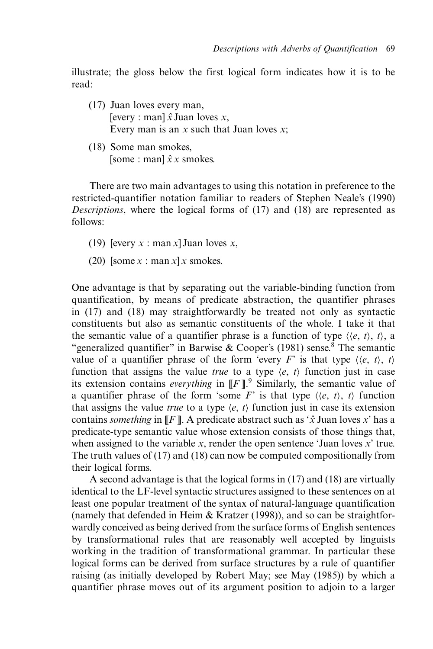illustrate; the gloss below the first logical form indicates how it is to be read:

- (17) Juan loves every man, [every : man]  $\hat{x}$  Juan loves *x*, Every man is an *x* such that Juan loves *x*;
- (18) Some man smokes, [some : man]  $\hat{x}$  *x* smokes.

There are two main advantages to using this notation in preference to the restricted-quantifier notation familiar to readers of Stephen Neale's (1990) *Descriptions*, where the logical forms of (17) and (18) are represented as follows:

- (19) [every  $x : \text{man } x$ ] Juan loves  $x$ ,
- (20)  $\left[\text{some } x : \text{man } x\right]x \text{ smokers.}\right]$

One advantage is that by separating out the variable-binding function from quantification, by means of predicate abstraction, the quantifier phrases in (17) and (18) may straightforwardly be treated not only as syntactic constituents but also as semantic constituents of the whole. I take it that the semantic value of a quantifier phrase is a function of type  $\langle e, t \rangle$ , *t* $\rangle$ , a "generalized quantifier" in Barwise & Cooper's (1981) sense.<sup>8</sup> The semantic value of a quantifier phrase of the form 'every *F*' is that type  $\langle e, t \rangle$ , *t*) function that assigns the value *true* to a type  $\langle e, t \rangle$  function just in case its extension contains *everything* in [[*F* ]].9 Similarly, the semantic value of a quantifier phrase of the form 'some *F*' is that type  $\langle e, t \rangle$ , *t*) function that assigns the value *true* to a type  $\langle e, t \rangle$  function just in case its extension contains *something* in  $\llbracket F \rrbracket$ . A predicate abstract such as ' $\hat{x}$  Juan loves  $x$ ' has a predicate-type semantic value whose extension consists of those things that, when assigned to the variable  $x$ , render the open sentence 'Juan loves  $x$ ' true. The truth values of (17) and (18) can now be computed compositionally from their logical forms.

A second advantage is that the logical forms in (17) and (18) are virtually identical to the LF-level syntactic structures assigned to these sentences on at least one popular treatment of the syntax of natural-language quantification (namely that defended in Heim  $&$  Kratzer (1998)), and so can be straightforwardly conceived as being derived from the surface forms of English sentences by transformational rules that are reasonably well accepted by linguists working in the tradition of transformational grammar. In particular these logical forms can be derived from surface structures by a rule of quantifier raising (as initially developed by Robert May; see May (1985)) by which a quantifier phrase moves out of its argument position to adjoin to a larger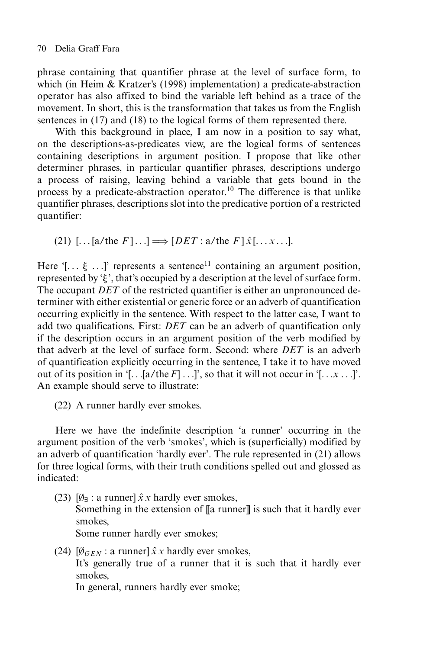phrase containing that quantifier phrase at the level of surface form, to which (in Heim & Kratzer's (1998) implementation) a predicate-abstraction operator has also affixed to bind the variable left behind as a trace of the movement. In short, this is the transformation that takes us from the English sentences in (17) and (18) to the logical forms of them represented there.

With this background in place, I am now in a position to say what, on the descriptions-as-predicates view, are the logical forms of sentences containing descriptions in argument position. I propose that like other determiner phrases, in particular quantifier phrases, descriptions undergo a process of raising, leaving behind a variable that gets bound in the process by a predicate-abstraction operator.<sup>10</sup> The difference is that unlike quantifier phrases, descriptions slot into the predicative portion of a restricted quantifier:

(21)  $\left[\ldots\left[a/\text{the } F\right]\ldots\right] \Longrightarrow \left[DEF: a/\text{the } F\right] \hat{x} \left[\ldots x \ldots\right]$ .

Here '[...  $\xi$  ...]' represents a sentence<sup>11</sup> containing an argument position, represented by  $\mathcal{E}'$ , that's occupied by a description at the level of surface form. The occupant *DET* of the restricted quantifier is either an unpronounced determiner with either existential or generic force or an adverb of quantification occurring explicitly in the sentence. With respect to the latter case, I want to add two qualifications. First: *DET* can be an adverb of quantification only if the description occurs in an argument position of the verb modified by that adverb at the level of surface form. Second: where *DET* is an adverb of quantification explicitly occurring in the sentence, I take it to have moved out of its position in '[...[a/the  $F$ ] ...]', so that it will not occur in '[...*x* ...]'. An example should serve to illustrate:

(22) A runner hardly ever smokes.

Here we have the indefinite description 'a runner' occurring in the argument position of the verb 'smokes', which is (superficially) modified by an adverb of quantification 'hardly ever'. The rule represented in (21) allows for three logical forms, with their truth conditions spelled out and glossed as indicated:

- (23)  $[Ø₃ : a runner]  $\hat{x}$  x hardly ever smokers,$ Something in the extension of  $\llbracket a$  runner $\rrbracket$  is such that it hardly ever smokes, Some runner hardly ever smokes;
- (24)  $[\emptyset_{GEN} : a \text{ runner}] \hat{x} x \text{ hardly ever smokers},$ It's generally true of a runner that it is such that it hardly ever smokes,

In general, runners hardly ever smoke;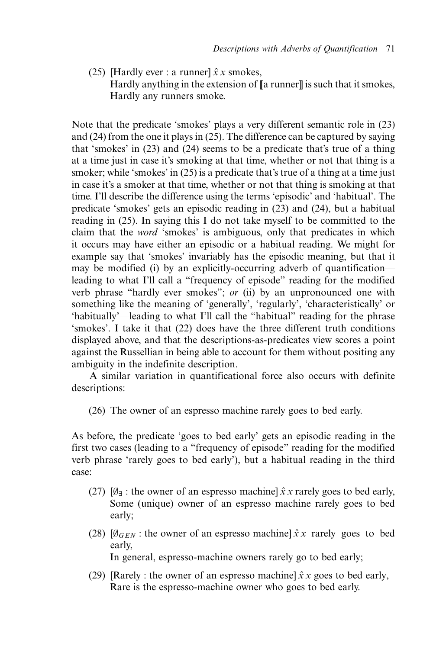(25) [Hardly ever : a runner]  $\hat{x}$  *x* smokes, Hardly anything in the extension of  $\llbracket a$  runner $\rrbracket$  is such that it smokes, Hardly any runners smoke.

Note that the predicate 'smokes' plays a very different semantic role in (23) and (24) from the one it plays in (25). The difference can be captured by saying that 'smokes' in (23) and (24) seems to be a predicate that's true of a thing at a time just in case it's smoking at that time, whether or not that thing is a smoker; while 'smokes' in (25) is a predicate that's true of a thing at a time just in case it's a smoker at that time, whether or not that thing is smoking at that time. I'll describe the difference using the terms 'episodic' and 'habitual'. The predicate 'smokes' gets an episodic reading in (23) and (24), but a habitual reading in (25). In saying this I do not take myself to be committed to the claim that the *word* 'smokes' is ambiguous, only that predicates in which it occurs may have either an episodic or a habitual reading. We might for example say that 'smokes' invariably has the episodic meaning, but that it may be modified (i) by an explicitly-occurring adverb of quantification leading to what I'll call a "frequency of episode" reading for the modified verb phrase "hardly ever smokes"; *or* (ii) by an unpronounced one with something like the meaning of 'generally', 'regularly', 'characteristically' or 'habitually'—leading to what I'll call the "habitual" reading for the phrase 'smokes'. I take it that (22) does have the three different truth conditions displayed above, and that the descriptions-as-predicates view scores a point against the Russellian in being able to account for them without positing any ambiguity in the indefinite description.

A similar variation in quantificational force also occurs with definite descriptions:

(26) The owner of an espresso machine rarely goes to bed early.

As before, the predicate 'goes to bed early' gets an episodic reading in the first two cases (leading to a "frequency of episode" reading for the modified verb phrase 'rarely goes to bed early'), but a habitual reading in the third case:

- (27)  $\lbrack \emptyset \rbrack$  : the owner of an espresso machine]  $\hat{x}$  *x* rarely goes to bed early, Some (unique) owner of an espresso machine rarely goes to bed early;
- (28)  $[\emptyset_{GEN}$ : the owner of an espresso machine]  $\hat{x}$  *x* rarely goes to bed early, In general, espresso-machine owners rarely go to bed early;
- (29) [Rarely : the owner of an espresso machine]  $\hat{x}$  *x* goes to bed early, Rare is the espresso-machine owner who goes to bed early.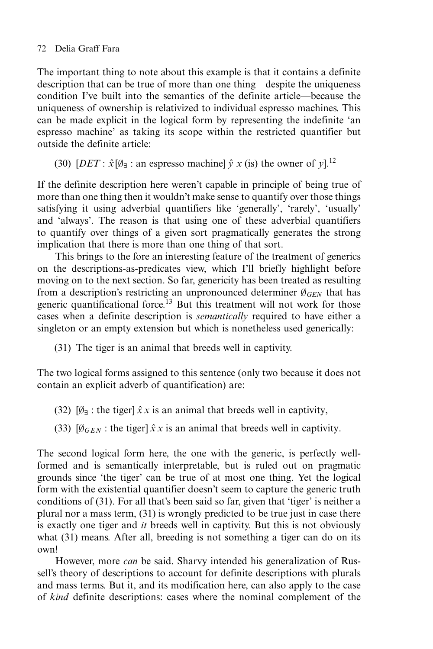The important thing to note about this example is that it contains a definite description that can be true of more than one thing—despite the uniqueness condition I've built into the semantics of the definite article—because the uniqueness of ownership is relativized to individual espresso machines. This can be made explicit in the logical form by representing the indefinite 'an espresso machine' as taking its scope within the restricted quantifier but outside the definite article:

(30)  $[DET : \hat{x} | \hat{Q}_\exists$ : an espresso machine]  $\hat{y}$  x (is) the owner of y].<sup>12</sup>

If the definite description here weren't capable in principle of being true of more than one thing then it wouldn't make sense to quantify over those things satisfying it using adverbial quantifiers like 'generally', 'rarely', 'usually' and 'always'. The reason is that using one of these adverbial quantifiers to quantify over things of a given sort pragmatically generates the strong implication that there is more than one thing of that sort.

This brings to the fore an interesting feature of the treatment of generics on the descriptions-as-predicates view, which I'll briefly highlight before moving on to the next section. So far, genericity has been treated as resulting from a description's restricting an unpronounced determiner ∅*GEN* that has generic quantificational force.<sup>13</sup> But this treatment will not work for those cases when a definite description is *semantically* required to have either a singleton or an empty extension but which is nonetheless used generically:

(31) The tiger is an animal that breeds well in captivity.

The two logical forms assigned to this sentence (only two because it does not contain an explicit adverb of quantification) are:

- (32)  $[\emptyset]$  : the tiger]  $\hat{x}$  x is an animal that breeds well in captivity,
- (33)  $[\emptyset_{GEN} :$  the tiger]  $\hat{x}$  x is an animal that breeds well in captivity.

The second logical form here, the one with the generic, is perfectly wellformed and is semantically interpretable, but is ruled out on pragmatic grounds since 'the tiger' can be true of at most one thing. Yet the logical form with the existential quantifier doesn't seem to capture the generic truth conditions of (31). For all that's been said so far, given that 'tiger' is neither a plural nor a mass term, (31) is wrongly predicted to be true just in case there is exactly one tiger and *it* breeds well in captivity. But this is not obviously what (31) means. After all, breeding is not something a tiger can do on its own!

However, more *can* be said. Sharvy intended his generalization of Russell's theory of descriptions to account for definite descriptions with plurals and mass terms. But it, and its modification here, can also apply to the case of *kind* definite descriptions: cases where the nominal complement of the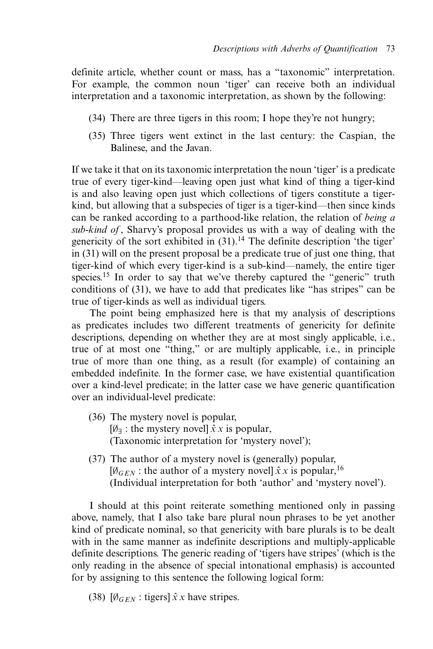definite article, whether count or mass, has a "taxonomic" interpretation. For example, the common noun 'tiger' can receive both an individual interpretation and a taxonomic interpretation, as shown by the following:

- (34) There are three tigers in this room; I hope they're not hungry;
- (35) Three tigers went extinct in the last century: the Caspian, the Balinese, and the Javan.

If we take it that on its taxonomic interpretation the noun 'tiger' is a predicate true of every tiger-kind—leaving open just what kind of thing a tiger-kind is and also leaving open just which collections of tigers constitute a tigerkind, but allowing that a subspecies of tiger is a tiger-kind—then since kinds can be ranked according to a parthood-like relation, the relation of *being a sub-kind of* , Sharvy's proposal provides us with a way of dealing with the genericity of the sort exhibited in  $(31)$ .<sup>14</sup> The definite description 'the tiger' in (31) will on the present proposal be a predicate true of just one thing, that tiger-kind of which every tiger-kind is a sub-kind—namely, the entire tiger species.<sup>15</sup> In order to say that we've thereby captured the "generic" truth conditions of (31), we have to add that predicates like "has stripes" can be true of tiger-kinds as well as individual tigers.

The point being emphasized here is that my analysis of descriptions as predicates includes two different treatments of genericity for definite descriptions, depending on whether they are at most singly applicable, i.e., true of at most one "thing," or are multiply applicable, i.e., in principle true of more than one thing, as a result (for example) of containing an embedded indefinite. In the former case, we have existential quantification over a kind-level predicate; in the latter case we have generic quantification over an individual-level predicate:

- (36) The mystery novel is popular, [ $\emptyset$ <sub>∃</sub> : the mystery novel]  $\hat{x}$  x is popular, (Taxonomic interpretation for 'mystery novel');
- (37) The author of a mystery novel is (generally) popular,  $[\emptyset_{GEN}$ : the author of a mystery novel]  $\hat{x}$  x is popular,<sup>16</sup> (Individual interpretation for both 'author' and 'mystery novel').

I should at this point reiterate something mentioned only in passing above, namely, that I also take bare plural noun phrases to be yet another kind of predicate nominal, so that genericity with bare plurals is to be dealt with in the same manner as indefinite descriptions and multiply-applicable definite descriptions. The generic reading of 'tigers have stripes' (which is the only reading in the absence of special intonational emphasis) is accounted for by assigning to this sentence the following logical form:

(38)  $[\emptyset_{GEN} : \text{tigers}] \hat{x} x$  have stripes.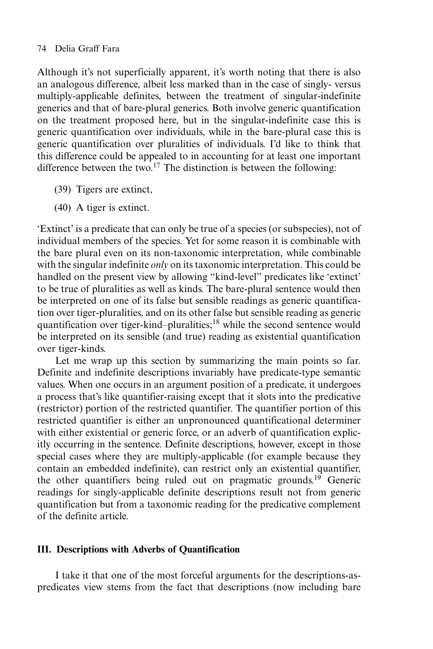Although it's not superficially apparent, it's worth noting that there is also an analogous difference, albeit less marked than in the case of singly- versus multiply-applicable definites, between the treatment of singular-indefinite generics and that of bare-plural generics. Both involve generic quantification on the treatment proposed here, but in the singular-indefinite case this is generic quantification over individuals, while in the bare-plural case this is generic quantification over pluralities of individuals. I'd like to think that this difference could be appealed to in accounting for at least one important difference between the two.<sup>17</sup> The distinction is between the following:

- (39) Tigers are extinct,
- (40) A tiger is extinct.

'Extinct' is a predicate that can only be true of a species (or subspecies), not of individual members of the species. Yet for some reason it is combinable with the bare plural even on its non-taxonomic interpretation, while combinable with the singular indefinite *only* on its taxonomic interpretation. This could be handled on the present view by allowing "kind-level" predicates like 'extinct' to be true of pluralities as well as kinds. The bare-plural sentence would then be interpreted on one of its false but sensible readings as generic quantification over tiger-pluralities, and on its other false but sensible reading as generic quantification over tiger-kind–pluralities;<sup>18</sup> while the second sentence would be interpreted on its sensible (and true) reading as existential quantification over tiger-kinds.

Let me wrap up this section by summarizing the main points so far. Definite and indefinite descriptions invariably have predicate-type semantic values. When one occurs in an argument position of a predicate, it undergoes a process that's like quantifier-raising except that it slots into the predicative (restrictor) portion of the restricted quantifier. The quantifier portion of this restricted quantifier is either an unpronounced quantificational determiner with either existential or generic force, or an adverb of quantification explicitly occurring in the sentence. Definite descriptions, however, except in those special cases where they are multiply-applicable (for example because they contain an embedded indefinite), can restrict only an existential quantifier, the other quantifiers being ruled out on pragmatic grounds.<sup>19</sup> Generic readings for singly-applicable definite descriptions result not from generic quantification but from a taxonomic reading for the predicative complement of the definite article.

# **III. Descriptions with Adverbs of Quantification**

I take it that one of the most forceful arguments for the descriptions-aspredicates view stems from the fact that descriptions (now including bare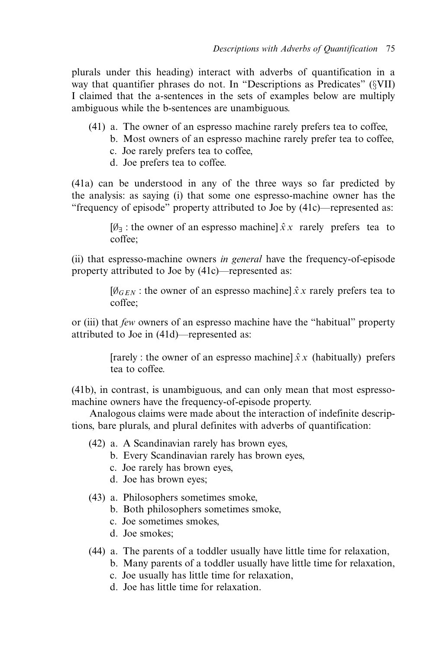plurals under this heading) interact with adverbs of quantification in a way that quantifier phrases do not. In "Descriptions as Predicates" (§VII) I claimed that the a-sentences in the sets of examples below are multiply ambiguous while the b-sentences are unambiguous.

- (41) a. The owner of an espresso machine rarely prefers tea to coffee,
	- b. Most owners of an espresso machine rarely prefer tea to coffee,
	- c. Joe rarely prefers tea to coffee,
	- d. Joe prefers tea to coffee.

(41a) can be understood in any of the three ways so far predicted by the analysis: as saying (i) that some one espresso-machine owner has the "frequency of episode" property attributed to Joe by (41c)—represented as:

> [∅∃ : the owner of an espresso machine] ˆ*x x* rarely prefers tea to coffee;

(ii) that espresso-machine owners *in general* have the frequency-of-episode property attributed to Joe by (41c)—represented as:

> $[\emptyset<sub>GEN</sub>]$ : the owner of an espresso machine]  $\hat{x}$  *x* rarely prefers tea to coffee;

or (iii) that *few* owners of an espresso machine have the "habitual" property attributed to Joe in (41d)—represented as:

> [rarely : the owner of an espresso machine]  $\hat{x}$  *x* (habitually) prefers tea to coffee.

(41b), in contrast, is unambiguous, and can only mean that most espressomachine owners have the frequency-of-episode property.

Analogous claims were made about the interaction of indefinite descriptions, bare plurals, and plural definites with adverbs of quantification:

- (42) a. A Scandinavian rarely has brown eyes,
	- b. Every Scandinavian rarely has brown eyes,
	- c. Joe rarely has brown eyes,
	- d. Joe has brown eyes;
- (43) a. Philosophers sometimes smoke,
	- b. Both philosophers sometimes smoke,
	- c. Joe sometimes smokes,
	- d. Joe smokes;
- (44) a. The parents of a toddler usually have little time for relaxation,
	- b. Many parents of a toddler usually have little time for relaxation,
	- c. Joe usually has little time for relaxation,
	- d. Joe has little time for relaxation.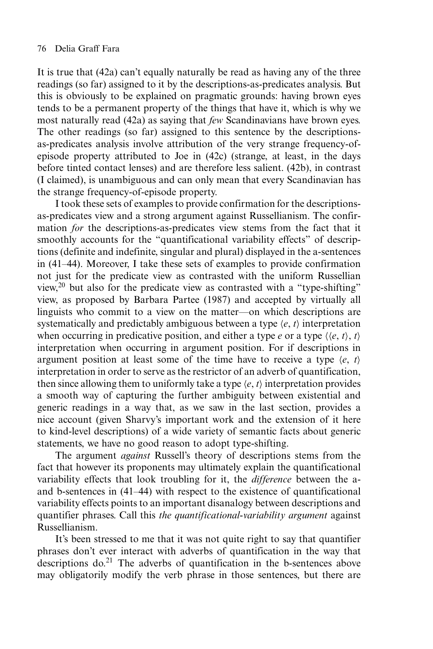It is true that (42a) can't equally naturally be read as having any of the three readings (so far) assigned to it by the descriptions-as-predicates analysis. But this is obviously to be explained on pragmatic grounds: having brown eyes tends to be a permanent property of the things that have it, which is why we most naturally read (42a) as saying that *few* Scandinavians have brown eyes. The other readings (so far) assigned to this sentence by the descriptionsas-predicates analysis involve attribution of the very strange frequency-ofepisode property attributed to Joe in (42c) (strange, at least, in the days before tinted contact lenses) and are therefore less salient. (42b), in contrast (I claimed), is unambiguous and can only mean that every Scandinavian has the strange frequency-of-episode property.

I took these sets of examples to provide confirmation for the descriptionsas-predicates view and a strong argument against Russellianism. The confirmation *for* the descriptions-as-predicates view stems from the fact that it smoothly accounts for the "quantificational variability effects" of descriptions (definite and indefinite, singular and plural) displayed in the a-sentences in (41–44). Moreover, I take these sets of examples to provide confirmation not just for the predicate view as contrasted with the uniform Russellian view,<sup>20</sup> but also for the predicate view as contrasted with a "type-shifting" view, as proposed by Barbara Partee (1987) and accepted by virtually all linguists who commit to a view on the matter—on which descriptions are systematically and predictably ambiguous between a type  $\langle e, t \rangle$  interpretation when occurring in predicative position, and either a type *e* or a type  $\langle e, t \rangle$ , *t*) interpretation when occurring in argument position. For if descriptions in argument position at least some of the time have to receive a type  $\langle e, t \rangle$ interpretation in order to serve as the restrictor of an adverb of quantification, then since allowing them to uniformly take a type  $\langle e, t \rangle$  interpretation provides a smooth way of capturing the further ambiguity between existential and generic readings in a way that, as we saw in the last section, provides a nice account (given Sharvy's important work and the extension of it here to kind-level descriptions) of a wide variety of semantic facts about generic statements, we have no good reason to adopt type-shifting.

The argument *against* Russell's theory of descriptions stems from the fact that however its proponents may ultimately explain the quantificational variability effects that look troubling for it, the *difference* between the aand b-sentences in (41–44) with respect to the existence of quantificational variability effects points to an important disanalogy between descriptions and quantifier phrases. Call this *the quantificational-variability argument* against Russellianism.

It's been stressed to me that it was not quite right to say that quantifier phrases don't ever interact with adverbs of quantification in the way that descriptions  $\delta$ <sub>21</sub>. The adverbs of quantification in the b-sentences above may obligatorily modify the verb phrase in those sentences, but there are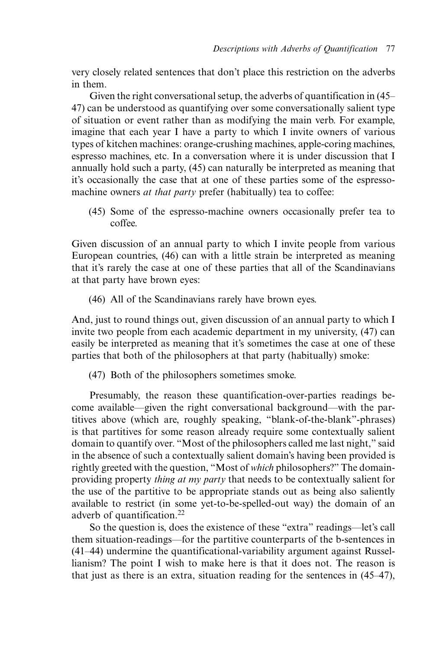very closely related sentences that don't place this restriction on the adverbs in them.

Given the right conversational setup, the adverbs of quantification in (45– 47) can be understood as quantifying over some conversationally salient type of situation or event rather than as modifying the main verb. For example, imagine that each year I have a party to which I invite owners of various types of kitchen machines: orange-crushing machines, apple-coring machines, espresso machines, etc. In a conversation where it is under discussion that I annually hold such a party, (45) can naturally be interpreted as meaning that it's occasionally the case that at one of these parties some of the espressomachine owners *at that party* prefer (habitually) tea to coffee:

(45) Some of the espresso-machine owners occasionally prefer tea to coffee.

Given discussion of an annual party to which I invite people from various European countries, (46) can with a little strain be interpreted as meaning that it's rarely the case at one of these parties that all of the Scandinavians at that party have brown eyes:

(46) All of the Scandinavians rarely have brown eyes.

And, just to round things out, given discussion of an annual party to which I invite two people from each academic department in my university, (47) can easily be interpreted as meaning that it's sometimes the case at one of these parties that both of the philosophers at that party (habitually) smoke:

(47) Both of the philosophers sometimes smoke.

Presumably, the reason these quantification-over-parties readings become available—given the right conversational background—with the partitives above (which are, roughly speaking, "blank-of-the-blank"-phrases) is that partitives for some reason already require some contextually salient domain to quantify over. "Most of the philosophers called me last night," said in the absence of such a contextually salient domain's having been provided is rightly greeted with the question, "Most of *which* philosophers?" The domainproviding property *thing at my party* that needs to be contextually salient for the use of the partitive to be appropriate stands out as being also saliently available to restrict (in some yet-to-be-spelled-out way) the domain of an adverb of quantification.<sup>22</sup>

So the question is, does the existence of these "extra" readings—let's call them situation-readings—for the partitive counterparts of the b-sentences in (41–44) undermine the quantificational-variability argument against Russellianism? The point I wish to make here is that it does not. The reason is that just as there is an extra, situation reading for the sentences in (45–47),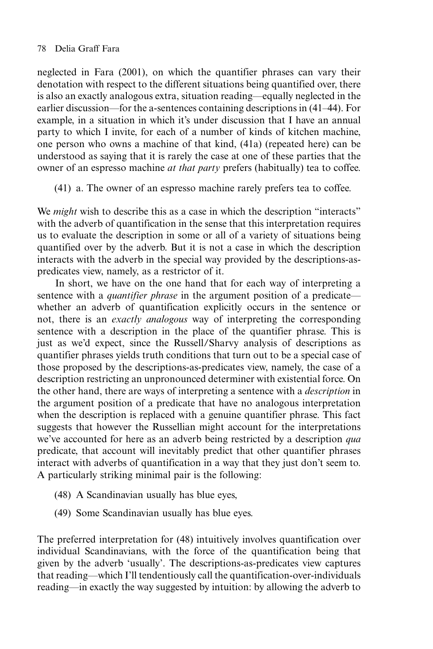neglected in Fara (2001), on which the quantifier phrases can vary their denotation with respect to the different situations being quantified over, there is also an exactly analogous extra, situation reading—equally neglected in the earlier discussion—for the a-sentences containing descriptions in (41–44). For example, in a situation in which it's under discussion that I have an annual party to which I invite, for each of a number of kinds of kitchen machine, one person who owns a machine of that kind, (41a) (repeated here) can be understood as saying that it is rarely the case at one of these parties that the owner of an espresso machine *at that party* prefers (habitually) tea to coffee.

(41) a. The owner of an espresso machine rarely prefers tea to coffee.

We *might* wish to describe this as a case in which the description "interacts" with the adverb of quantification in the sense that this interpretation requires us to evaluate the description in some or all of a variety of situations being quantified over by the adverb. But it is not a case in which the description interacts with the adverb in the special way provided by the descriptions-aspredicates view, namely, as a restrictor of it.

In short, we have on the one hand that for each way of interpreting a sentence with a *quantifier phrase* in the argument position of a predicate whether an adverb of quantification explicitly occurs in the sentence or not, there is an *exactly analogous* way of interpreting the corresponding sentence with a description in the place of the quantifier phrase. This is just as we'd expect, since the Russell/Sharvy analysis of descriptions as quantifier phrases yields truth conditions that turn out to be a special case of those proposed by the descriptions-as-predicates view, namely, the case of a description restricting an unpronounced determiner with existential force. On the other hand, there are ways of interpreting a sentence with a *description* in the argument position of a predicate that have no analogous interpretation when the description is replaced with a genuine quantifier phrase. This fact suggests that however the Russellian might account for the interpretations we've accounted for here as an adverb being restricted by a description *qua* predicate, that account will inevitably predict that other quantifier phrases interact with adverbs of quantification in a way that they just don't seem to. A particularly striking minimal pair is the following:

- (48) A Scandinavian usually has blue eyes,
- (49) Some Scandinavian usually has blue eyes.

The preferred interpretation for (48) intuitively involves quantification over individual Scandinavians, with the force of the quantification being that given by the adverb 'usually'. The descriptions-as-predicates view captures that reading—which I'll tendentiously call the quantification-over-individuals reading—in exactly the way suggested by intuition: by allowing the adverb to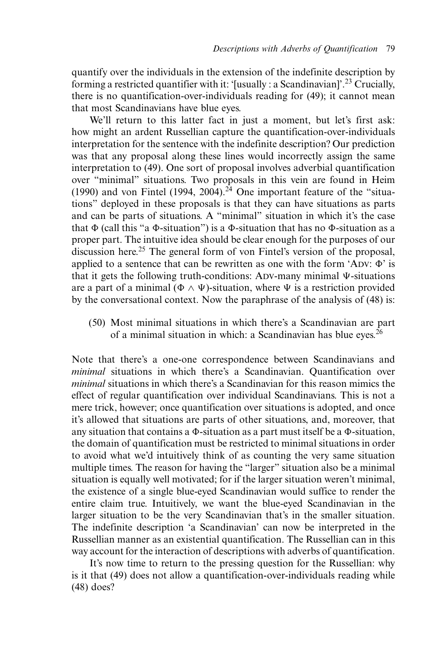quantify over the individuals in the extension of the indefinite description by forming a restricted quantifier with it: '[usually : a Scandinavian]'.<sup>23</sup> Crucially, there is no quantification-over-individuals reading for (49); it cannot mean that most Scandinavians have blue eyes.

We'll return to this latter fact in just a moment, but let's first ask: how might an ardent Russellian capture the quantification-over-individuals interpretation for the sentence with the indefinite description? Our prediction was that any proposal along these lines would incorrectly assign the same interpretation to (49). One sort of proposal involves adverbial quantification over "minimal" situations. Two proposals in this vein are found in Heim (1990) and von Fintel (1994,  $2004$ ).<sup>24</sup> One important feature of the "situations" deployed in these proposals is that they can have situations as parts and can be parts of situations. A "minimal" situation in which it's the case that  $\Phi$  (call this "a  $\Phi$ -situation") is a  $\Phi$ -situation that has no  $\Phi$ -situation as a proper part. The intuitive idea should be clear enough for the purposes of our discussion here.<sup>25</sup> The general form of von Fintel's version of the proposal, applied to a sentence that can be rewritten as one with the form 'ADV:  $\Phi$ ' is that it gets the following truth-conditions: ADV-many minimal  $\Psi$ -situations are a part of a minimal ( $\Phi \wedge \Psi$ )-situation, where  $\Psi$  is a restriction provided by the conversational context. Now the paraphrase of the analysis of (48) is:

(50) Most minimal situations in which there's a Scandinavian are part of a minimal situation in which: a Scandinavian has blue eyes.<sup>26</sup>

Note that there's a one-one correspondence between Scandinavians and *minimal* situations in which there's a Scandinavian. Quantification over *minimal* situations in which there's a Scandinavian for this reason mimics the effect of regular quantification over individual Scandinavians. This is not a mere trick, however; once quantification over situations is adopted, and once it's allowed that situations are parts of other situations, and, moreover, that any situation that contains a  $\Phi$ -situation as a part must itself be a  $\Phi$ -situation, the domain of quantification must be restricted to minimal situations in order to avoid what we'd intuitively think of as counting the very same situation multiple times. The reason for having the "larger" situation also be a minimal situation is equally well motivated; for if the larger situation weren't minimal, the existence of a single blue-eyed Scandinavian would suffice to render the entire claim true. Intuitively, we want the blue-eyed Scandinavian in the larger situation to be the very Scandinavian that's in the smaller situation. The indefinite description 'a Scandinavian' can now be interpreted in the Russellian manner as an existential quantification. The Russellian can in this way account for the interaction of descriptions with adverbs of quantification.

It's now time to return to the pressing question for the Russellian: why is it that (49) does not allow a quantification-over-individuals reading while (48) does?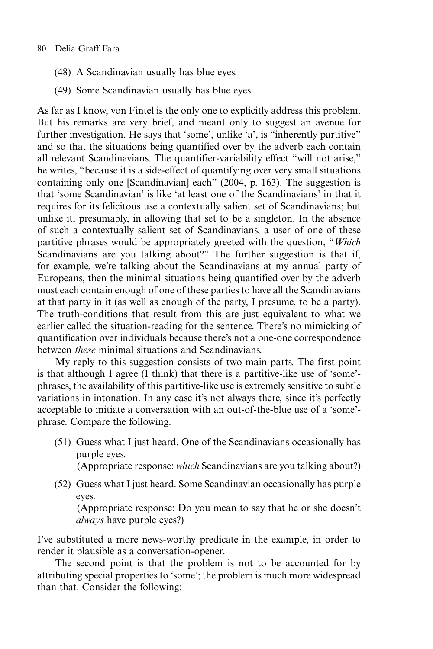- (48) A Scandinavian usually has blue eyes.
- (49) Some Scandinavian usually has blue eyes.

As far as I know, von Fintel is the only one to explicitly address this problem. But his remarks are very brief, and meant only to suggest an avenue for further investigation. He says that 'some', unlike 'a', is "inherently partitive" and so that the situations being quantified over by the adverb each contain all relevant Scandinavians. The quantifier-variability effect "will not arise," he writes, "because it is a side-effect of quantifying over very small situations containing only one [Scandinavian] each" (2004, p. 163). The suggestion is that 'some Scandinavian' is like 'at least one of the Scandinavians' in that it requires for its felicitous use a contextually salient set of Scandinavians; but unlike it, presumably, in allowing that set to be a singleton. In the absence of such a contextually salient set of Scandinavians, a user of one of these partitive phrases would be appropriately greeted with the question, "*Which* Scandinavians are you talking about?" The further suggestion is that if, for example, we're talking about the Scandinavians at my annual party of Europeans, then the minimal situations being quantified over by the adverb must each contain enough of one of these parties to have all the Scandinavians at that party in it (as well as enough of the party, I presume, to be a party). The truth-conditions that result from this are just equivalent to what we earlier called the situation-reading for the sentence. There's no mimicking of quantification over individuals because there's not a one-one correspondence between *these* minimal situations and Scandinavians.

My reply to this suggestion consists of two main parts. The first point is that although I agree (I think) that there is a partitive-like use of 'some' phrases, the availability of this partitive-like use is extremely sensitive to subtle variations in intonation. In any case it's not always there, since it's perfectly acceptable to initiate a conversation with an out-of-the-blue use of a 'some' phrase. Compare the following.

- (51) Guess what I just heard. One of the Scandinavians occasionally has purple eyes.
	- (Appropriate response: *which* Scandinavians are you talking about?)
- (52) Guess what I just heard. Some Scandinavian occasionally has purple eyes.

(Appropriate response: Do you mean to say that he or she doesn't *always* have purple eyes?)

I've substituted a more news-worthy predicate in the example, in order to render it plausible as a conversation-opener.

The second point is that the problem is not to be accounted for by attributing special properties to 'some'; the problem is much more widespread than that. Consider the following: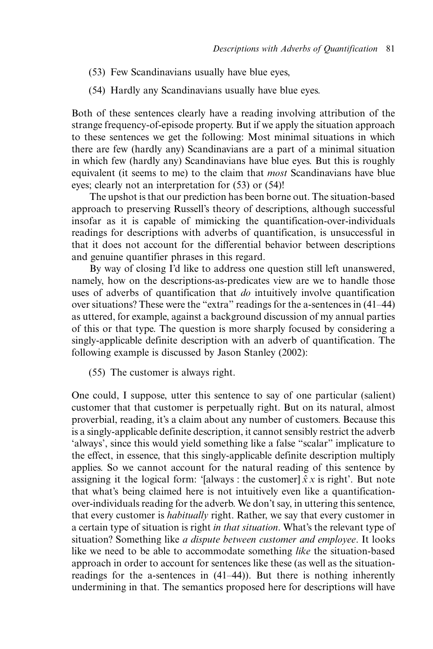- (53) Few Scandinavians usually have blue eyes,
- (54) Hardly any Scandinavians usually have blue eyes.

Both of these sentences clearly have a reading involving attribution of the strange frequency-of-episode property. But if we apply the situation approach to these sentences we get the following: Most minimal situations in which there are few (hardly any) Scandinavians are a part of a minimal situation in which few (hardly any) Scandinavians have blue eyes. But this is roughly equivalent (it seems to me) to the claim that *most* Scandinavians have blue eyes; clearly not an interpretation for (53) or (54)!

The upshot is that our prediction has been borne out. The situation-based approach to preserving Russell's theory of descriptions, although successful insofar as it is capable of mimicking the quantification-over-individuals readings for descriptions with adverbs of quantification, is unsuccessful in that it does not account for the differential behavior between descriptions and genuine quantifier phrases in this regard.

By way of closing I'd like to address one question still left unanswered, namely, how on the descriptions-as-predicates view are we to handle those uses of adverbs of quantification that *do* intuitively involve quantification over situations? These were the "extra" readings for the a-sentences in (41–44) as uttered, for example, against a background discussion of my annual parties of this or that type. The question is more sharply focused by considering a singly-applicable definite description with an adverb of quantification. The following example is discussed by Jason Stanley (2002):

(55) The customer is always right.

One could, I suppose, utter this sentence to say of one particular (salient) customer that that customer is perpetually right. But on its natural, almost proverbial, reading, it's a claim about any number of customers. Because this is a singly-applicable definite description, it cannot sensibly restrict the adverb 'always', since this would yield something like a false "scalar" implicature to the effect, in essence, that this singly-applicable definite description multiply applies. So we cannot account for the natural reading of this sentence by assigning it the logical form: '[always : the customer]  $\hat{x}$  x is right'. But note that what's being claimed here is not intuitively even like a quantificationover-individuals reading for the adverb. We don't say, in uttering this sentence, that every customer is *habitually* right. Rather, we say that every customer in a certain type of situation is right *in that situation*. What's the relevant type of situation? Something like *a dispute between customer and employee*. It looks like we need to be able to accommodate something *like* the situation-based approach in order to account for sentences like these (as well as the situationreadings for the a-sentences in (41–44)). But there is nothing inherently undermining in that. The semantics proposed here for descriptions will have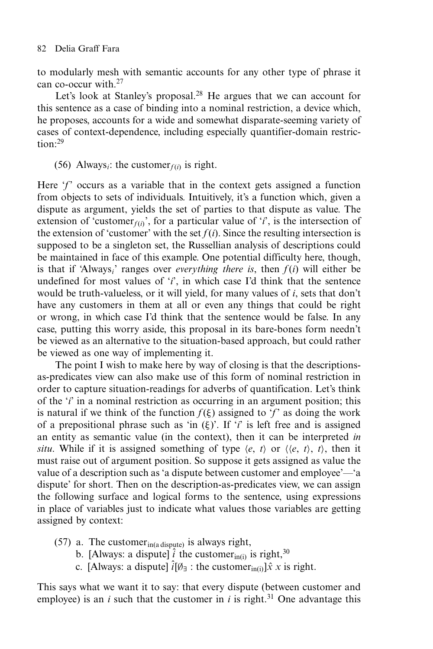to modularly mesh with semantic accounts for any other type of phrase it can co-occur with.<sup>27</sup>

Let's look at Stanley's proposal.<sup>28</sup> He argues that we can account for this sentence as a case of binding into a nominal restriction, a device which, he proposes, accounts for a wide and somewhat disparate-seeming variety of cases of context-dependence, including especially quantifier-domain restric $tion<sup>.29</sup>$ 

(56) Always<sub>*i*</sub>: the customer<sub>*f*(*i*)</sub> is right.

Here '*f*' occurs as a variable that in the context gets assigned a function from objects to sets of individuals. Intuitively, it's a function which, given a dispute as argument, yields the set of parties to that dispute as value. The extension of 'customer<sub>f(i)</sub>', for a particular value of '*i*', is the intersection of the extension of 'customer' with the set  $f(i)$ . Since the resulting intersection is supposed to be a singleton set, the Russellian analysis of descriptions could be maintained in face of this example. One potential difficulty here, though, is that if 'Always<sub>i</sub>' ranges over *everything there is*, then  $f(i)$  will either be undefined for most values of '*i*', in which case I'd think that the sentence would be truth-valueless, or it will yield, for many values of *i*, sets that don't have any customers in them at all or even any things that could be right or wrong, in which case I'd think that the sentence would be false. In any case, putting this worry aside, this proposal in its bare-bones form needn't be viewed as an alternative to the situation-based approach, but could rather be viewed as one way of implementing it.

The point I wish to make here by way of closing is that the descriptionsas-predicates view can also make use of this form of nominal restriction in order to capture situation-readings for adverbs of quantification. Let's think of the '*i*' in a nominal restriction as occurring in an argument position; this is natural if we think of the function  $f(\xi)$  assigned to '*f*' as doing the work of a prepositional phrase such as 'in  $(\xi)$ '. If '*i*' is left free and is assigned an entity as semantic value (in the context), then it can be interpreted *in situ*. While if it is assigned something of type  $\langle e, t \rangle$  or  $\langle \langle e, t \rangle, t \rangle$ , then it must raise out of argument position. So suppose it gets assigned as value the value of a description such as 'a dispute between customer and employee'—'a dispute' for short. Then on the description-as-predicates view, we can assign the following surface and logical forms to the sentence, using expressions in place of variables just to indicate what values those variables are getting assigned by context:

- (57) a. The customer<sub>in(a dispute)</sub> is always right,
	- b. [Always: a dispute]  $\hat{i}$  the customer<sub>in(i)</sub> is right,<sup>30</sup>
	- c. [Always: a dispute]  $\hat{i}[\emptyset]$  : the customer<sub>in(i)</sub>] $\hat{x}$  x is right.

This says what we want it to say: that every dispute (between customer and employee) is an *i* such that the customer in *i* is right.<sup>31</sup> One advantage this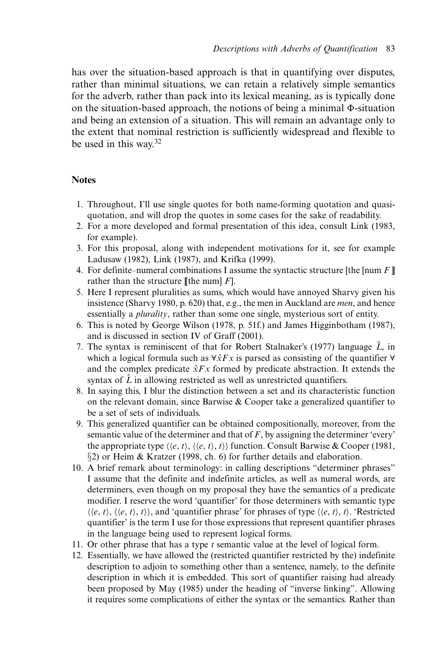has over the situation-based approach is that in quantifying over disputes, rather than minimal situations, we can retain a relatively simple semantics for the adverb, rather than pack into its lexical meaning, as is typically done on the situation-based approach, the notions of being a minimal  $\Phi$ -situation and being an extension of a situation. This will remain an advantage only to the extent that nominal restriction is sufficiently widespread and flexible to be used in this way.<sup>32</sup>

## **Notes**

- 1. Throughout, I'll use single quotes for both name-forming quotation and quasiquotation, and will drop the quotes in some cases for the sake of readability.
- 2. For a more developed and formal presentation of this idea, consult Link (1983, for example).
- 3. For this proposal, along with independent motivations for it, see for example Ladusaw (1982), Link (1987), and Krifka (1999).
- 4. For definite–numeral combinations I assume the syntactic structure [the [num *F* ]] rather than the structure [[the num]  $F$ ].
- 5. Here I represent pluralities as sums, which would have annoyed Sharvy given his insistence (Sharvy 1980, p. 620) that, e.g., the men in Auckland are *men*, and hence essentially a *plurality*, rather than some one single, mysterious sort of entity.
- 6. This is noted by George Wilson (1978, p. 51f.) and James Higginbotham (1987), and is discussed in section IV of Graff (2001).
- 7. The syntax is reminiscent of that for Robert Stalnaker's (1977) language  $\hat{L}$ , in which a logical formula such as  $\forall xFx$  is parsed as consisting of the quantifier  $\forall$ and the complex predicate  $\hat{\chi} F_X$  formed by predicate abstraction. It extends the syntax of  $\hat{L}$  in allowing restricted as well as unrestricted quantifiers.
- 8. In saying this, I blur the distinction between a set and its characteristic function on the relevant domain, since Barwise & Cooper take a generalized quantifier to be a set of sets of individuals.
- 9. This generalized quantifier can be obtained compositionally, moreover, from the semantic value of the determiner and that of *F*, by assigning the determiner 'every' the appropriate type  $\langle \langle e, t \rangle, \langle \langle e, t \rangle, t \rangle \rangle$  function. Consult Barwise & Cooper (1981, §2) or Heim & Kratzer (1998, ch. 6) for further details and elaboration.
- 10. A brief remark about terminology: in calling descriptions "determiner phrases" I assume that the definite and indefinite articles, as well as numeral words, are determiners, even though on my proposal they have the semantics of a predicate modifier. I reserve the word 'quantifier' for those determiners with semantic type  $\langle e, t \rangle$ ,  $\langle e, t \rangle$ ,  $\langle t \rangle$ , and 'quantifier phrase' for phrases of type  $\langle e, t \rangle$ , *t*). 'Restricted quantifier' is the term I use for those expressions that represent quantifier phrases in the language being used to represent logical forms.
- 11. Or other phrase that has a type *t* semantic value at the level of logical form.
- 12. Essentially, we have allowed the (restricted quantifier restricted by the) indefinite description to adjoin to something other than a sentence, namely, to the definite description in which it is embedded. This sort of quantifier raising had already been proposed by May (1985) under the heading of "inverse linking". Allowing it requires some complications of either the syntax or the semantics. Rather than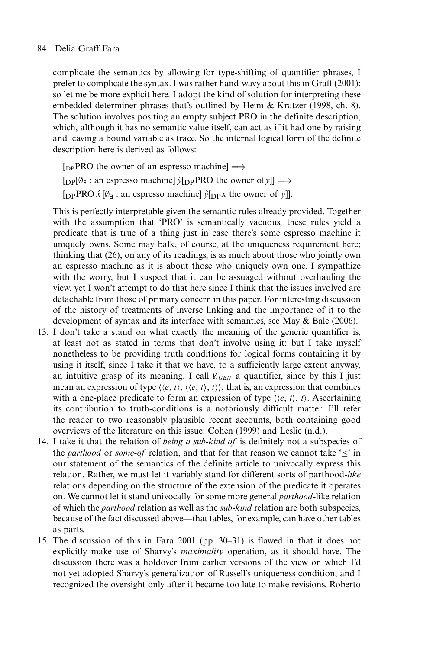complicate the semantics by allowing for type-shifting of quantifier phrases, I prefer to complicate the syntax. I was rather hand-wavy about this in Graff (2001); so let me be more explicit here. I adopt the kind of solution for interpreting these embedded determiner phrases that's outlined by Heim & Kratzer (1998, ch. 8). The solution involves positing an empty subject PRO in the definite description, which, although it has no semantic value itself, can act as if it had one by raising and leaving a bound variable as trace. So the internal logical form of the definite description here is derived as follows:

 $[p$ PRO the owner of an espresso machine]  $\Longrightarrow$ [DP[∅∃ : an espresso machine] ˆ*y*[DPPRO the owner of*y*]] =⇒ [DPPRO ˆ*x* [∅∃ : an espresso machine] ˆ*y*[DP*x* the owner of *y*]].

This is perfectly interpretable given the semantic rules already provided. Together with the assumption that 'PRO' is semantically vacuous, these rules yield a predicate that is true of a thing just in case there's some espresso machine it uniquely owns. Some may balk, of course, at the uniqueness requirement here; thinking that (26), on any of its readings, is as much about those who jointly own an espresso machine as it is about those who uniquely own one. I sympathize with the worry, but I suspect that it can be assuaged without overhauling the view, yet I won't attempt to do that here since I think that the issues involved are detachable from those of primary concern in this paper. For interesting discussion of the history of treatments of inverse linking and the importance of it to the development of syntax and its interface with semantics, see May & Bale (2006).

- 13. I don't take a stand on what exactly the meaning of the generic quantifier is, at least not as stated in terms that don't involve using it; but I take myself nonetheless to be providing truth conditions for logical forms containing it by using it itself, since I take it that we have, to a sufficiently large extent anyway, an intuitive grasp of its meaning. I call  $\varnothing$ <sub>*GEN*</sub> a quantifier, since by this I just mean an expression of type  $\langle e, t \rangle$ ,  $\langle e, t \rangle$ ,  $\langle e, t \rangle$ , that is, an expression that combines with a one-place predicate to form an expression of type  $\langle e, t \rangle$ , *t*). Ascertaining its contribution to truth-conditions is a notoriously difficult matter. I'll refer the reader to two reasonably plausible recent accounts, both containing good overviews of the literature on this issue: Cohen (1999) and Leslie (n.d.).
- 14. I take it that the relation of *being a sub-kind of* is definitely not a subspecies of the *parthood* or *some-of* relation, and that for that reason we cannot take ' $\leq$ ' in our statement of the semantics of the definite article to univocally express this relation. Rather, we must let it variably stand for different sorts of parthood-*like* relations depending on the structure of the extension of the predicate it operates on. We cannot let it stand univocally for some more general *parthood*-like relation of which the *parthood* relation as well as the *sub-kind* relation are both subspecies, because of the fact discussed above—that tables, for example, can have other tables as parts.
- 15. The discussion of this in Fara 2001 (pp. 30–31) is flawed in that it does not explicitly make use of Sharvy's *maximality* operation, as it should have. The discussion there was a holdover from earlier versions of the view on which I'd not yet adopted Sharvy's generalization of Russell's uniqueness condition, and I recognized the oversight only after it became too late to make revisions. Roberto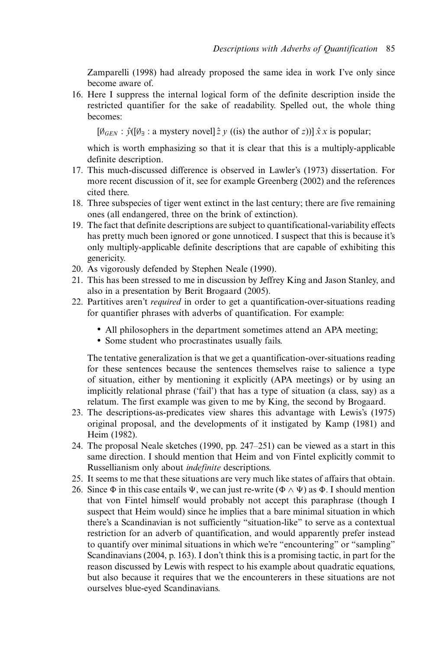Zamparelli (1998) had already proposed the same idea in work I've only since become aware of.

16. Here I suppress the internal logical form of the definite description inside the restricted quantifier for the sake of readability. Spelled out, the whole thing becomes:

 $[\emptyset_{GFN} : \hat{v}([\emptyset_{\exists} : a \text{ mystery novel} | \hat{z} v ((is) \text{ the author of } z))] \hat{x} x$  is popular;

which is worth emphasizing so that it is clear that this is a multiply-applicable definite description.

- 17. This much-discussed difference is observed in Lawler's (1973) dissertation. For more recent discussion of it, see for example Greenberg (2002) and the references cited there.
- 18. Three subspecies of tiger went extinct in the last century; there are five remaining ones (all endangered, three on the brink of extinction).
- 19. The fact that definite descriptions are subject to quantificational-variability effects has pretty much been ignored or gone unnoticed. I suspect that this is because it's only multiply-applicable definite descriptions that are capable of exhibiting this genericity.
- 20. As vigorously defended by Stephen Neale (1990).
- 21. This has been stressed to me in discussion by Jeffrey King and Jason Stanley, and also in a presentation by Berit Brogaard (2005).
- 22. Partitives aren't *required* in order to get a quantification-over-situations reading for quantifier phrases with adverbs of quantification. For example:
	- All philosophers in the department sometimes attend an APA meeting;
	- Some student who procrastinates usually fails.

The tentative generalization is that we get a quantification-over-situations reading for these sentences because the sentences themselves raise to salience a type of situation, either by mentioning it explicitly (APA meetings) or by using an implicitly relational phrase ('fail') that has a type of situation (a class, say) as a relatum. The first example was given to me by King, the second by Brogaard.

- 23. The descriptions-as-predicates view shares this advantage with Lewis's (1975) original proposal, and the developments of it instigated by Kamp (1981) and Heim (1982).
- 24. The proposal Neale sketches (1990, pp. 247–251) can be viewed as a start in this same direction. I should mention that Heim and von Fintel explicitly commit to Russellianism only about *indefinite* descriptions.
- 25. It seems to me that these situations are very much like states of affairs that obtain.
- 26. Since  $\Phi$  in this case entails  $\Psi$ , we can just re-write ( $\Phi \wedge \Psi$ ) as  $\Phi$ . I should mention that von Fintel himself would probably not accept this paraphrase (though I suspect that Heim would) since he implies that a bare minimal situation in which there's a Scandinavian is not sufficiently "situation-like" to serve as a contextual restriction for an adverb of quantification, and would apparently prefer instead to quantify over minimal situations in which we're "encountering" or "sampling" Scandinavians (2004, p. 163). I don't think this is a promising tactic, in part for the reason discussed by Lewis with respect to his example about quadratic equations, but also because it requires that we the encounterers in these situations are not ourselves blue-eyed Scandinavians.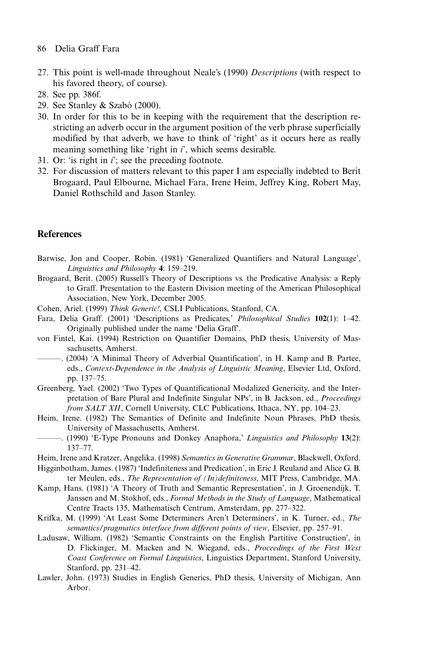- 27. This point is well-made throughout Neale's (1990) *Descriptions* (with respect to his favored theory, of course).
- 28. See pp. 386f.
- 29. See Stanley  $&$  Szabó (2000).
- 30. In order for this to be in keeping with the requirement that the description restricting an adverb occur in the argument position of the verb phrase superficially modified by that adverb, we have to think of 'right' as it occurs here as really meaning something like 'right in *i*', which seems desirable.
- 31. Or: 'is right in *i*'; see the preceding footnote.
- 32. For discussion of matters relevant to this paper I am especially indebted to Berit Brogaard, Paul Elbourne, Michael Fara, Irene Heim, Jeffrey King, Robert May, Daniel Rothschild and Jason Stanley.

## **References**

- Barwise, Jon and Cooper, Robin. (1981) 'Generalized Quantifiers and Natural Language', *Linguistics and Philosophy* **4**: 159–219.
- Brogaard, Berit. (2005) Russell's Theory of Descriptions vs. the Predicative Analysis: a Reply to Graff. Presentation to the Eastern Division meeting of the American Philosophical Association, New York, December 2005.
- Cohen, Ariel. (1999) *Think Generic!*, CSLI Publications, Stanford, CA.
- Fara, Delia Graff. (2001) 'Descriptions as Predicates,' *Philosophical Studies* **102**(1): 1–42. Originally published under the name 'Delia Graff'.
- von Fintel, Kai. (1994) Restriction on Quantifier Domains, PhD thesis, University of Massachusetts, Amherst.
	- ———. (2004) 'A Minimal Theory of Adverbial Quantification', in H. Kamp and B. Partee, eds., *Context-Dependence in the Analysis of Linguistic Meaning*, Elsevier Ltd, Oxford, pp. 137–75.
- Greenberg, Yael. (2002) 'Two Types of Quantificational Modalized Genericity, and the Interpretation of Bare Plural and Indefinite Singular NPs', in B. Jackson, ed., *Proceedings from SALT XII*, Cornell University, CLC Publications, Ithaca, NY, pp. 104–23.
- Heim, Irene. (1982) The Semantics of Definite and Indefinite Noun Phrases, PhD thesis, University of Massachusetts, Amherst.
- ———. (1990) 'E-Type Pronouns and Donkey Anaphora,' *Linguistics and Philosophy* **13**(2): 137–77.
- Heim, Irene and Kratzer, Angelika. (1998) *Semantics in Generative Grammar*, Blackwell, Oxford.
- Higginbotham, James. (1987) 'Indefiniteness and Predication', in Eric J. Reuland and Alice G. B. ter Meulen, eds., *The Representation of (In)definiteness*, MIT Press, Cambridge, MA.
- Kamp, Hans. (1981) 'A Theory of Truth and Semantic Representation', in J. Groenendijk, T. Janssen and M. Stokhof, eds., *Formal Methods in the Study of Language*, Mathematical Centre Tracts 135, Mathematisch Centrum, Amsterdam, pp. 277–322.
- Krifka, M. (1999) 'At Least Some Determiners Aren't Determiners', in K. Turner, ed., *The semantics/pragmatics interface from different points of view*, Elsevier, pp. 257–91.
- Ladusaw, William. (1982) 'Semantic Constraints on the English Partitive Construction', in D. Flickinger, M. Macken and N. Wiegand, eds., *Proceedings of the First West Coast Conference on Formal Linguistics*, Linguistics Department, Stanford University, Stanford, pp. 231–42.
- Lawler, John. (1973) Studies in English Generics, PhD thesis, University of Michigan, Ann Arbor.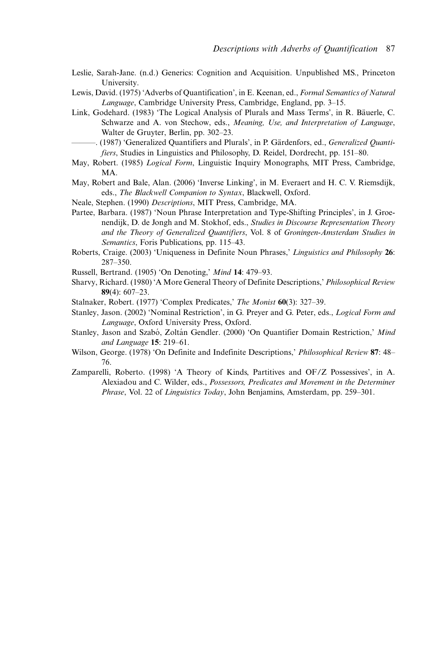- Leslie, Sarah-Jane. (n.d.) Generics: Cognition and Acquisition. Unpublished MS., Princeton University.
- Lewis, David. (1975) 'Adverbs of Quantification', in E. Keenan, ed., *Formal Semantics of Natural Language*, Cambridge University Press, Cambridge, England, pp. 3–15.
- Link, Godehard. (1983) 'The Logical Analysis of Plurals and Mass Terms', in R. Bäuerle, C. Schwarze and A. von Stechow, eds., *Meaning, Use, and Interpretation of Language*, Walter de Gruyter, Berlin, pp. 302–23.
	- –. (1987) 'Generalized Quantifiers and Plurals', in P. Gärdenfors, ed., *Generalized Quantifiers*, Studies in Linguistics and Philosophy, D. Reidel, Dordrecht, pp. 151–80.
- May, Robert. (1985) *Logical Form*, Linguistic Inquiry Monographs, MIT Press, Cambridge, MA.
- May, Robert and Bale, Alan. (2006) 'Inverse Linking', in M. Everaert and H. C. V. Riemsdijk, eds., *The Blackwell Companion to Syntax*, Blackwell, Oxford.
- Neale, Stephen. (1990) *Descriptions*, MIT Press, Cambridge, MA.
- Partee, Barbara. (1987) 'Noun Phrase Interpretation and Type-Shifting Principles', in J. Groenendijk, D. de Jongh and M. Stokhof, eds., *Studies in Discourse Representation Theory and the Theory of Generalized Quantifiers*, Vol. 8 of *Groningen-Amsterdam Studies in Semantics*, Foris Publications, pp. 115–43.
- Roberts, Craige. (2003) 'Uniqueness in Definite Noun Phrases,' *Linguistics and Philosophy* **26**: 287–350.
- Russell, Bertrand. (1905) 'On Denoting,' *Mind* **14**: 479–93.
- Sharvy, Richard. (1980) 'A More General Theory of Definite Descriptions,' *Philosophical Review* **89**(4): 607–23.
- Stalnaker, Robert. (1977) 'Complex Predicates,' *The Monist* **60**(3): 327–39.
- Stanley, Jason. (2002) 'Nominal Restriction', in G. Preyer and G. Peter, eds., *Logical Form and Language*, Oxford University Press, Oxford.
- Stanley, Jason and Szabó, Zoltán Gendler. (2000) 'On Quantifier Domain Restriction,' Mind *and Language* **15**: 219–61.
- Wilson, George. (1978) 'On Definite and Indefinite Descriptions,' *Philosophical Review* **87**: 48– 76.
- Zamparelli, Roberto. (1998) 'A Theory of Kinds, Partitives and OF/Z Possessives', in A. Alexiadou and C. Wilder, eds., *Possessors, Predicates and Movement in the Determiner Phrase*, Vol. 22 of *Linguistics Today*, John Benjamins, Amsterdam, pp. 259–301.